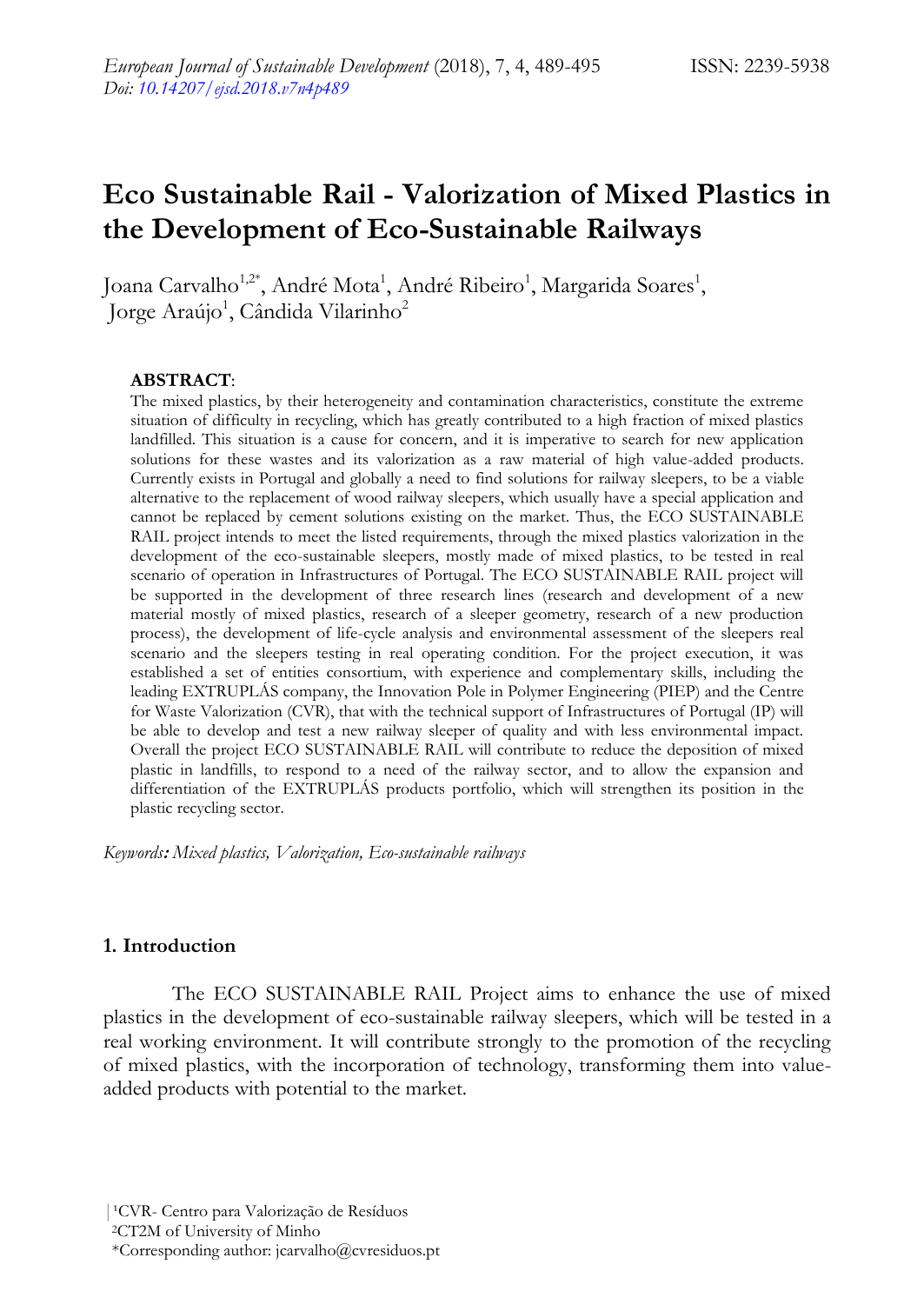# **Eco Sustainable Rail - Valorization of Mixed Plastics in the Development of Eco-Sustainable Railways**

Joana Carvalho<sup>1,2\*</sup>, André Mota<sup>1</sup>, André Ribeiro<sup>1</sup>, Margarida Soares<sup>1</sup>, Jorge Araújo<sup>1</sup>, Cândida Vilarinho<sup>2</sup>

## **ABSTRACT**:

The mixed plastics, by their heterogeneity and contamination characteristics, constitute the extreme situation of difficulty in recycling, which has greatly contributed to a high fraction of mixed plastics landfilled. This situation is a cause for concern, and it is imperative to search for new application solutions for these wastes and its valorization as a raw material of high value-added products. Currently exists in Portugal and globally a need to find solutions for railway sleepers, to be a viable alternative to the replacement of wood railway sleepers, which usually have a special application and cannot be replaced by cement solutions existing on the market. Thus, the ECO SUSTAINABLE RAIL project intends to meet the listed requirements, through the mixed plastics valorization in the development of the eco-sustainable sleepers, mostly made of mixed plastics, to be tested in real scenario of operation in Infrastructures of Portugal. The ECO SUSTAINABLE RAIL project will be supported in the development of three research lines (research and development of a new material mostly of mixed plastics, research of a sleeper geometry, research of a new production process), the development of life-cycle analysis and environmental assessment of the sleepers real scenario and the sleepers testing in real operating condition. For the project execution, it was established a set of entities consortium, with experience and complementary skills, including the leading EXTRUPLÁS company, the Innovation Pole in Polymer Engineering (PIEP) and the Centre for Waste Valorization (CVR), that with the technical support of Infrastructures of Portugal (IP) will be able to develop and test a new railway sleeper of quality and with less environmental impact. Overall the project ECO SUSTAINABLE RAIL will contribute to reduce the deposition of mixed plastic in landfills, to respond to a need of the railway sector, and to allow the expansion and differentiation of the EXTRUPLÁS products portfolio, which will strengthen its position in the plastic recycling sector.

*Keywords***:** *Mixed plastics, Valorization, Eco-sustainable railways*

## **1. Introduction**

The ECO SUSTAINABLE RAIL Project aims to enhance the use of mixed plastics in the development of eco-sustainable railway sleepers, which will be tested in a real working environment. It will contribute strongly to the promotion of the recycling of mixed plastics, with the incorporation of technology, transforming them into valueadded products with potential to the market.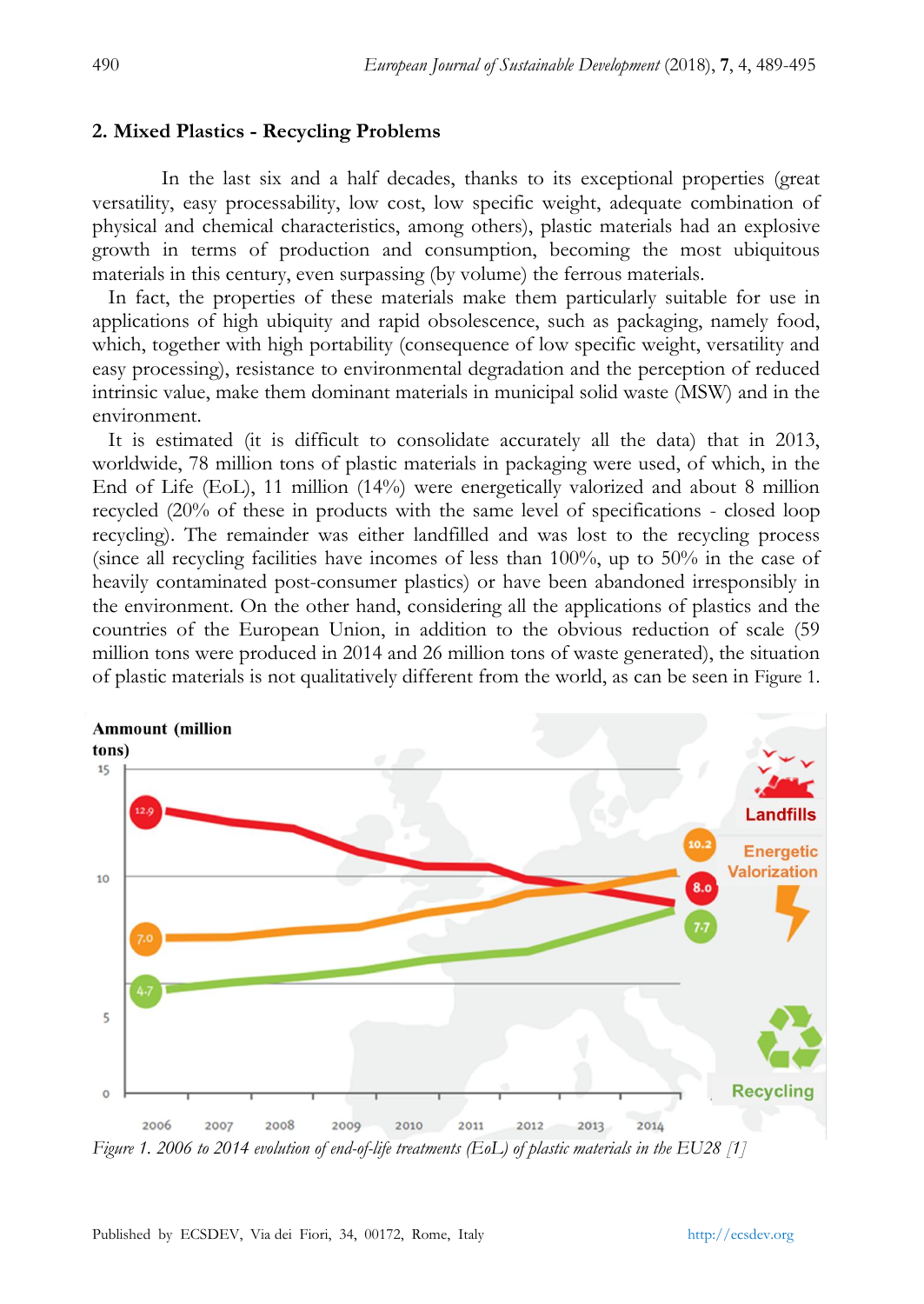## **2. Mixed Plastics - Recycling Problems**

In the last six and a half decades, thanks to its exceptional properties (great versatility, easy processability, low cost, low specific weight, adequate combination of physical and chemical characteristics, among others), plastic materials had an explosive growth in terms of production and consumption, becoming the most ubiquitous materials in this century, even surpassing (by volume) the ferrous materials.

 In fact, the properties of these materials make them particularly suitable for use in applications of high ubiquity and rapid obsolescence, such as packaging, namely food, which, together with high portability (consequence of low specific weight, versatility and easy processing), resistance to environmental degradation and the perception of reduced intrinsic value, make them dominant materials in municipal solid waste (MSW) and in the environment.

 It is estimated (it is difficult to consolidate accurately all the data) that in 2013, worldwide, 78 million tons of plastic materials in packaging were used, of which, in the End of Life (EoL), 11 million (14%) were energetically valorized and about 8 million recycled (20% of these in products with the same level of specifications - closed loop recycling). The remainder was either landfilled and was lost to the recycling process (since all recycling facilities have incomes of less than 100%, up to 50% in the case of heavily contaminated post-consumer plastics) or have been abandoned irresponsibly in the environment. On the other hand, considering all the applications of plastics and the countries of the European Union, in addition to the obvious reduction of scale (59 million tons were produced in 2014 and 26 million tons of waste generated), the situation of plastic materials is not qualitatively different from the world, as can be seen in Figure 1.



*Figure 1. 2006 to 2014 evolution of end-of-life treatments (EoL) of plastic materials in the EU28 [1]*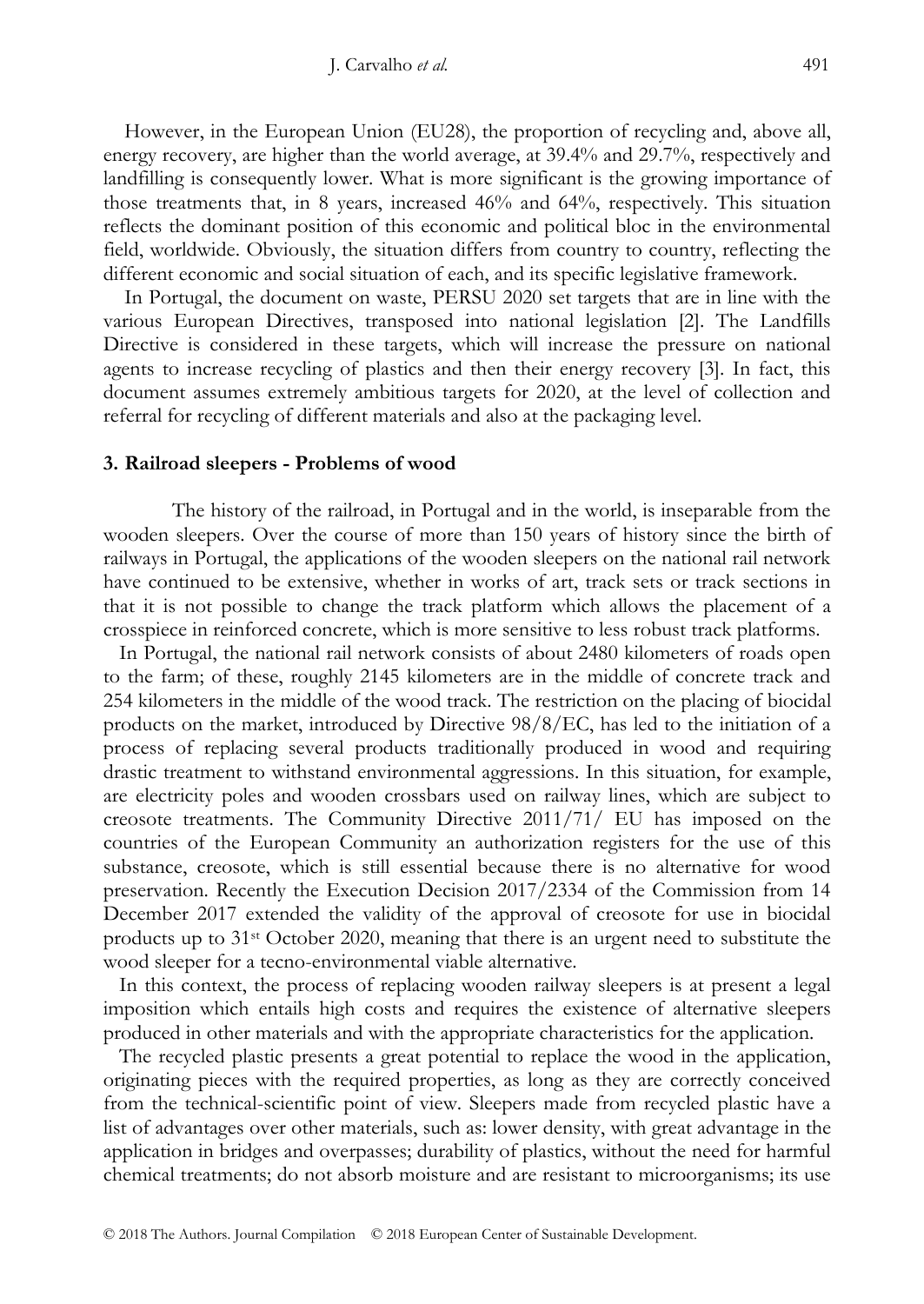However, in the European Union (EU28), the proportion of recycling and, above all, energy recovery, are higher than the world average, at 39.4% and 29.7%, respectively and landfilling is consequently lower. What is more significant is the growing importance of those treatments that, in 8 years, increased 46% and 64%, respectively. This situation reflects the dominant position of this economic and political bloc in the environmental field, worldwide. Obviously, the situation differs from country to country, reflecting the different economic and social situation of each, and its specific legislative framework.

 In Portugal, the document on waste, PERSU 2020 set targets that are in line with the various European Directives, transposed into national legislation [2]. The Landfills Directive is considered in these targets, which will increase the pressure on national agents to increase recycling of plastics and then their energy recovery [3]. In fact, this document assumes extremely ambitious targets for 2020, at the level of collection and referral for recycling of different materials and also at the packaging level.

## **3. Railroad sleepers - Problems of wood**

The history of the railroad, in Portugal and in the world, is inseparable from the wooden sleepers. Over the course of more than 150 years of history since the birth of railways in Portugal, the applications of the wooden sleepers on the national rail network have continued to be extensive, whether in works of art, track sets or track sections in that it is not possible to change the track platform which allows the placement of a crosspiece in reinforced concrete, which is more sensitive to less robust track platforms.

 In Portugal, the national rail network consists of about 2480 kilometers of roads open to the farm; of these, roughly 2145 kilometers are in the middle of concrete track and 254 kilometers in the middle of the wood track. The restriction on the placing of biocidal products on the market, introduced by Directive 98/8/EC, has led to the initiation of a process of replacing several products traditionally produced in wood and requiring drastic treatment to withstand environmental aggressions. In this situation, for example, are electricity poles and wooden crossbars used on railway lines, which are subject to creosote treatments. The Community Directive 2011/71/ EU has imposed on the countries of the European Community an authorization registers for the use of this substance, creosote, which is still essential because there is no alternative for wood preservation. Recently the Execution Decision 2017/2334 of the Commission from 14 December 2017 extended the validity of the approval of creosote for use in biocidal products up to 31st October 2020, meaning that there is an urgent need to substitute the wood sleeper for a tecno-environmental viable alternative.

 In this context, the process of replacing wooden railway sleepers is at present a legal imposition which entails high costs and requires the existence of alternative sleepers produced in other materials and with the appropriate characteristics for the application.

 The recycled plastic presents a great potential to replace the wood in the application, originating pieces with the required properties, as long as they are correctly conceived from the technical-scientific point of view. Sleepers made from recycled plastic have a list of advantages over other materials, such as: lower density, with great advantage in the application in bridges and overpasses; durability of plastics, without the need for harmful chemical treatments; do not absorb moisture and are resistant to microorganisms; its use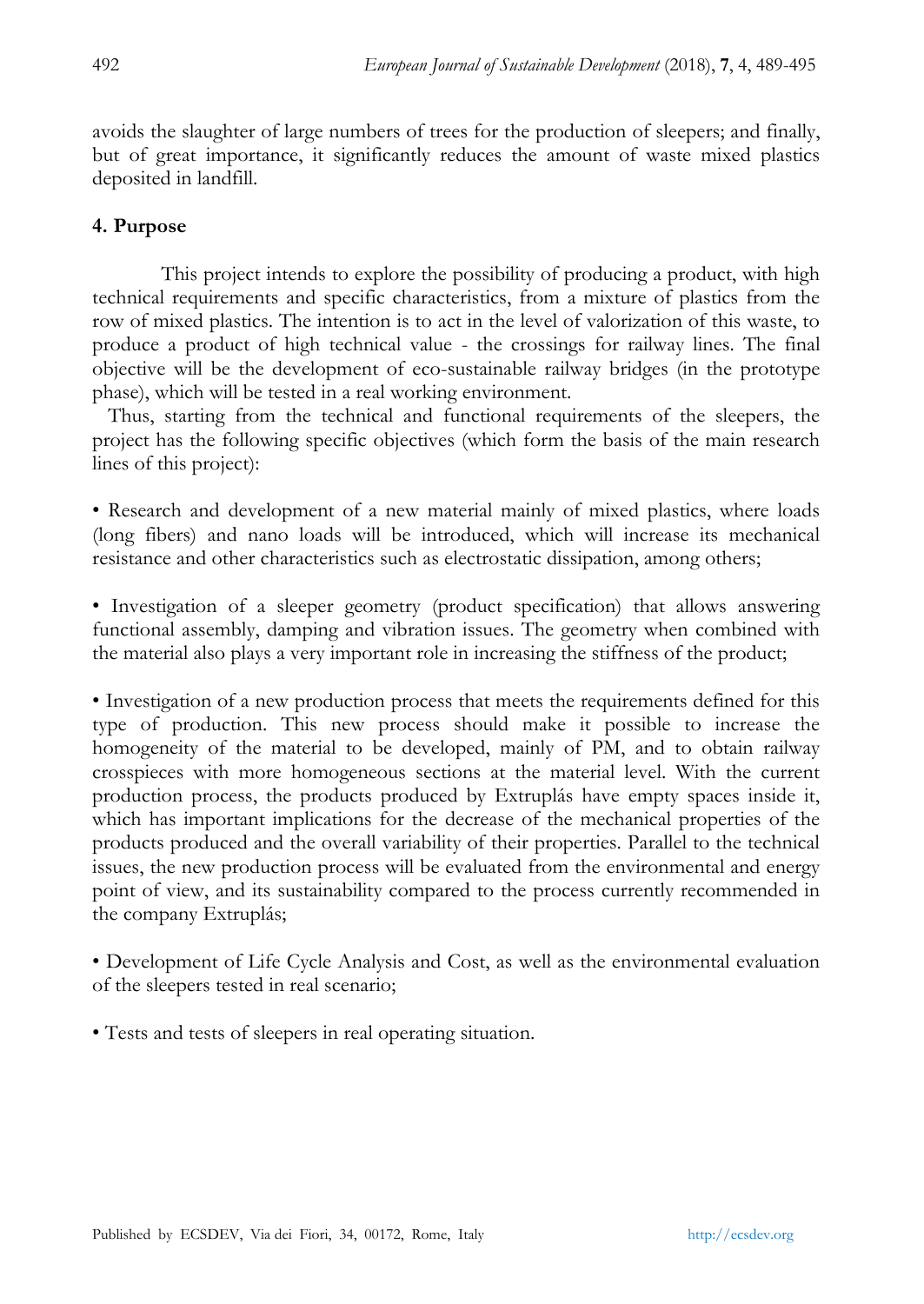avoids the slaughter of large numbers of trees for the production of sleepers; and finally, but of great importance, it significantly reduces the amount of waste mixed plastics deposited in landfill.

# **4. Purpose**

This project intends to explore the possibility of producing a product, with high technical requirements and specific characteristics, from a mixture of plastics from the row of mixed plastics. The intention is to act in the level of valorization of this waste, to produce a product of high technical value - the crossings for railway lines. The final objective will be the development of eco-sustainable railway bridges (in the prototype phase), which will be tested in a real working environment.

 Thus, starting from the technical and functional requirements of the sleepers, the project has the following specific objectives (which form the basis of the main research lines of this project):

• Research and development of a new material mainly of mixed plastics, where loads (long fibers) and nano loads will be introduced, which will increase its mechanical resistance and other characteristics such as electrostatic dissipation, among others;

• Investigation of a sleeper geometry (product specification) that allows answering functional assembly, damping and vibration issues. The geometry when combined with the material also plays a very important role in increasing the stiffness of the product;

• Investigation of a new production process that meets the requirements defined for this type of production. This new process should make it possible to increase the homogeneity of the material to be developed, mainly of PM, and to obtain railway crosspieces with more homogeneous sections at the material level. With the current production process, the products produced by Extruplás have empty spaces inside it, which has important implications for the decrease of the mechanical properties of the products produced and the overall variability of their properties. Parallel to the technical issues, the new production process will be evaluated from the environmental and energy point of view, and its sustainability compared to the process currently recommended in the company Extruplás;

• Development of Life Cycle Analysis and Cost, as well as the environmental evaluation of the sleepers tested in real scenario;

• Tests and tests of sleepers in real operating situation.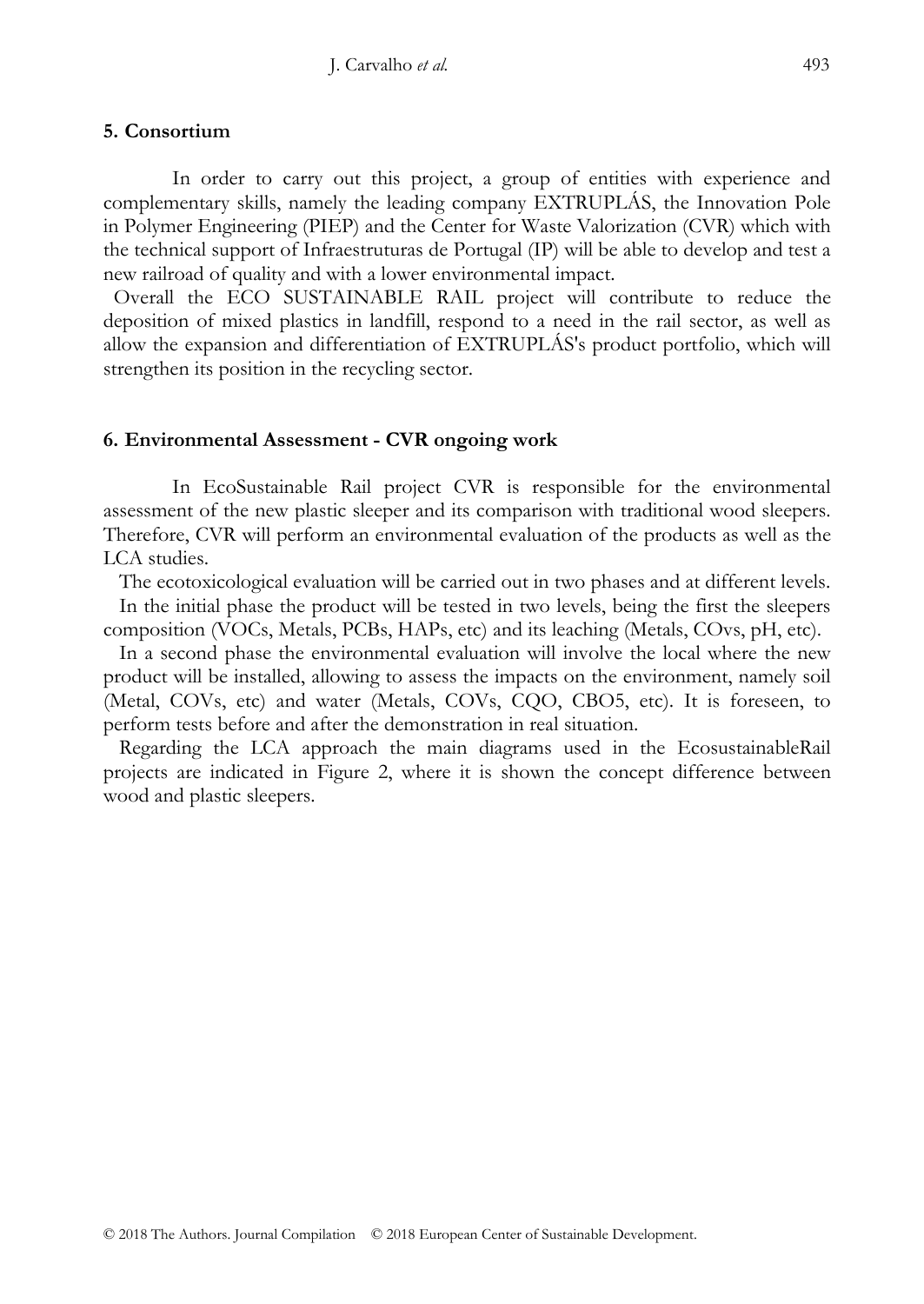## **5. Consortium**

In order to carry out this project, a group of entities with experience and complementary skills, namely the leading company EXTRUPLÁS, the Innovation Pole in Polymer Engineering (PIEP) and the Center for Waste Valorization (CVR) which with the technical support of Infraestruturas de Portugal (IP) will be able to develop and test a new railroad of quality and with a lower environmental impact.

 Overall the ECO SUSTAINABLE RAIL project will contribute to reduce the deposition of mixed plastics in landfill, respond to a need in the rail sector, as well as allow the expansion and differentiation of EXTRUPLÁS's product portfolio, which will strengthen its position in the recycling sector.

## **6. Environmental Assessment - CVR ongoing work**

In EcoSustainable Rail project CVR is responsible for the environmental assessment of the new plastic sleeper and its comparison with traditional wood sleepers. Therefore, CVR will perform an environmental evaluation of the products as well as the LCA studies.

 The ecotoxicological evaluation will be carried out in two phases and at different levels. In the initial phase the product will be tested in two levels, being the first the sleepers

composition (VOCs, Metals, PCBs, HAPs, etc) and its leaching (Metals, COvs, pH, etc).

 In a second phase the environmental evaluation will involve the local where the new product will be installed, allowing to assess the impacts on the environment, namely soil (Metal, COVs, etc) and water (Metals, COVs, CQO, CBO5, etc). It is foreseen, to perform tests before and after the demonstration in real situation.

 Regarding the LCA approach the main diagrams used in the EcosustainableRail projects are indicated in Figure 2, where it is shown the concept difference between wood and plastic sleepers.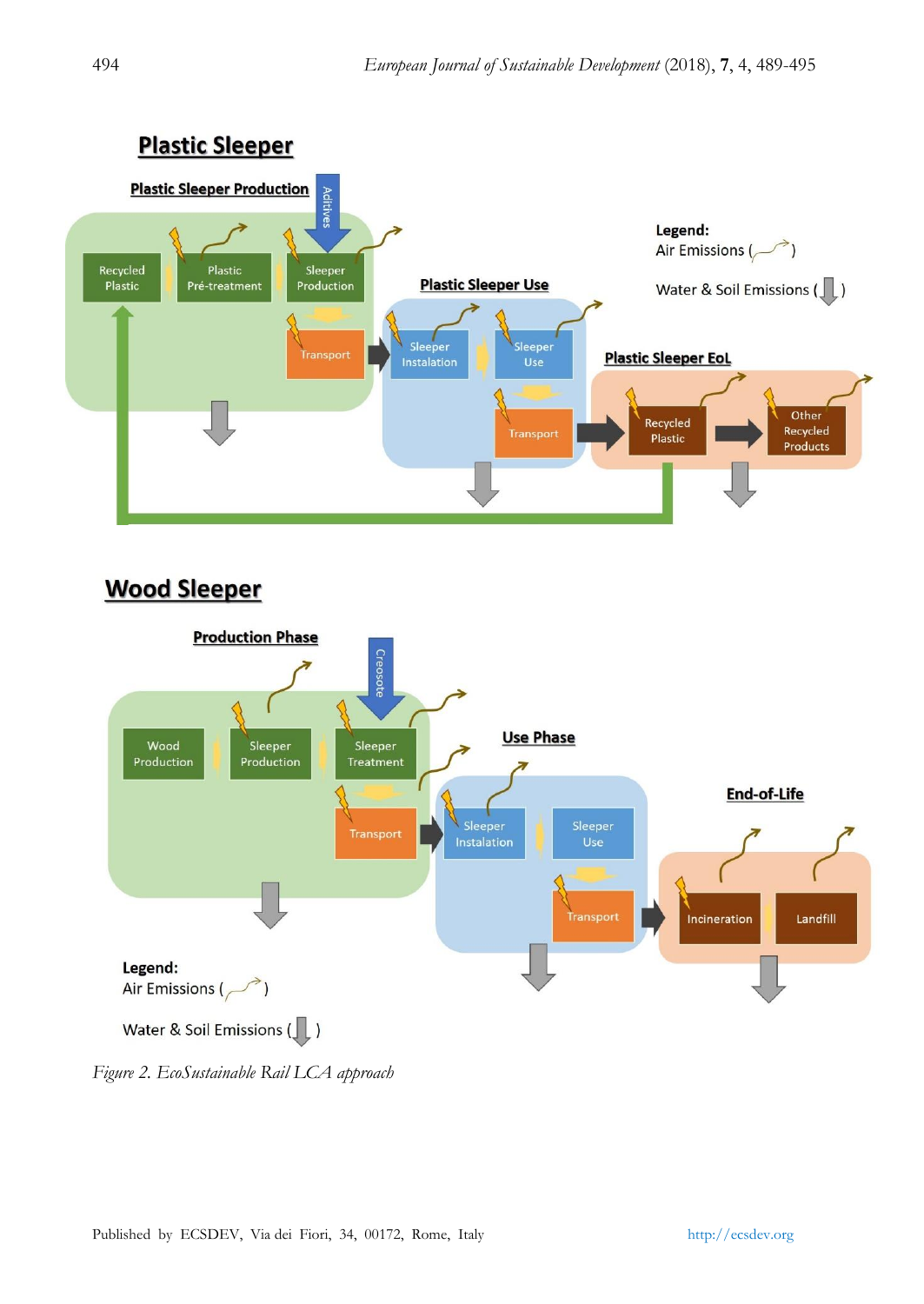